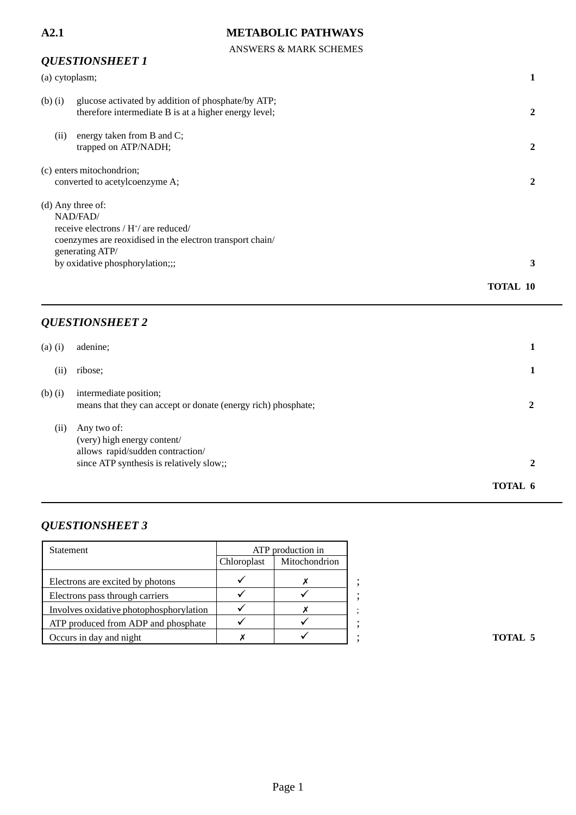ANSWERS & MARK SCHEMES

# *QUESTIONSHEET 1* (a) cytoplasm; **1** (b) (i) glucose activated by addition of phosphate/by ATP; therefore intermediate B is at a higher energy level; **2** (ii) energy taken from B and C; trapped on ATP/NADH; **2** (c) enters mitochondrion; converted to acetylcoenzyme A; **2** (d) Any three of: NAD/FAD/ receive electrons / H<sup>+</sup>/ are reduced/ coenzymes are reoxidised in the electron transport chain/ generating ATP/ by oxidative phosphorylation;;; **3 TOTAL 10**

### *QUESTIONSHEET 2*

| $(a)$ $(i)$ | adenine:                                                                                                                   |              |
|-------------|----------------------------------------------------------------------------------------------------------------------------|--------------|
| (11)        | ribose;                                                                                                                    |              |
| $(b)$ $(i)$ | intermediate position;<br>means that they can accept or donate (energy rich) phosphate;                                    |              |
| (ii)        | Any two of:<br>(very) high energy content/<br>allows rapid/sudden contraction/<br>since ATP synthesis is relatively slow;; | $\mathbf{2}$ |
|             |                                                                                                                            | TOTAL 6      |

| Statement                               | ATP production in |               |
|-----------------------------------------|-------------------|---------------|
|                                         | Chloroplast       | Mitochondrion |
| Electrons are excited by photons        |                   |               |
| Electrons pass through carriers         |                   |               |
| Involves oxidative photophosphorylation |                   |               |
| ATP produced from ADP and phosphate     |                   |               |
| Occurs in day and night                 |                   |               |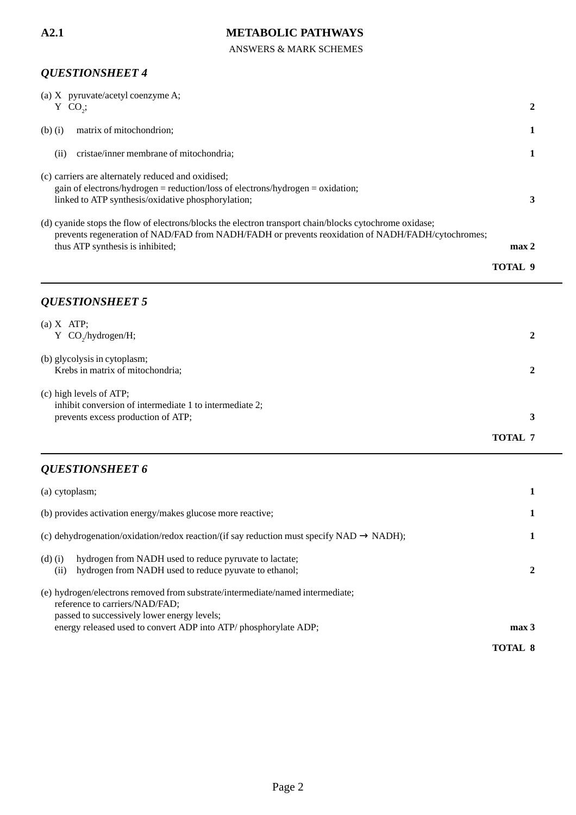ANSWERS & MARK SCHEMES

### *QUESTIONSHEET 4*

| (a) X pyruvate/acetyl coenzyme A;<br>$Y$ CO <sub>2</sub> ;                                                                                                                                                                                      | 2                |
|-------------------------------------------------------------------------------------------------------------------------------------------------------------------------------------------------------------------------------------------------|------------------|
| matrix of mitochondrion;<br>$(b)$ $(i)$                                                                                                                                                                                                         | 1                |
| cristae/inner membrane of mitochondria;<br>(ii)                                                                                                                                                                                                 | 1                |
| (c) carriers are alternately reduced and oxidised;<br>gain of electrons/hydrogen = reduction/loss of electrons/hydrogen = oxidation;<br>linked to ATP synthesis/oxidative phosphorylation;                                                      | 3                |
| (d) cyanide stops the flow of electrons/blocks the electron transport chain/blocks cytochrome oxidase;<br>prevents regeneration of NAD/FAD from NADH/FADH or prevents reoxidation of NADH/FADH/cytochromes;<br>thus ATP synthesis is inhibited; | max <sub>2</sub> |
|                                                                                                                                                                                                                                                 | <b>TOTAL 9</b>   |
| <b>QUESTIONSHEET 5</b>                                                                                                                                                                                                                          |                  |
| $(a)$ X ATP;<br>Y $CO_2$ /hydrogen/H;                                                                                                                                                                                                           | $\overline{2}$   |
| (b) glycolysis in cytoplasm;<br>Krebs in matrix of mitochondria;                                                                                                                                                                                | $\overline{2}$   |
| (c) high levels of ATP;<br>inhibit conversion of intermediate 1 to intermediate 2;<br>prevents excess production of ATP;                                                                                                                        | 3                |
|                                                                                                                                                                                                                                                 | <b>TOTAL 7</b>   |
| <b>QUESTIONSHEET 6</b>                                                                                                                                                                                                                          |                  |
| (a) cytoplasm;                                                                                                                                                                                                                                  | 1                |
| (b) provides activation energy/makes glucose more reactive;                                                                                                                                                                                     |                  |
| (c) dehydrogenation/oxidation/redox reaction/(if say reduction must specify NAD $\rightarrow$ NADH);                                                                                                                                            | 1                |
| hydrogen from NADH used to reduce pyruvate to lactate;<br>$(d)$ $(i)$<br>hydrogen from NADH used to reduce pyuvate to ethanol;<br>(ii)                                                                                                          | 2                |
| (e) hydrogen/electrons removed from substrate/intermediate/named intermediate;                                                                                                                                                                  |                  |

reference to carriers/NAD/FAD; passed to successively lower energy levels; energy released used to convert ADP into ATP/ phosphorylate ADP; **max 3 TOTAL 8**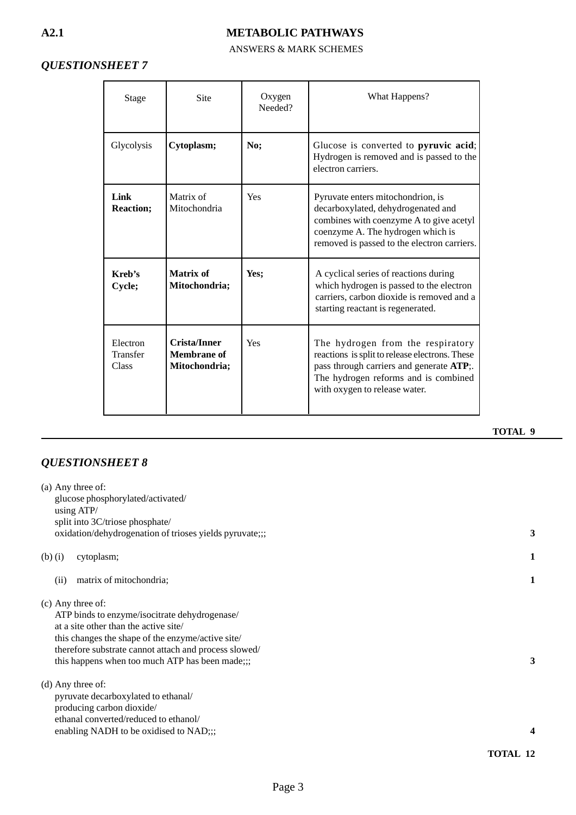### ANSWERS & MARK SCHEMES

# *QUESTIONSHEET 7*

| Stage                         | Site                                                | Oxygen<br>Needed? | What Happens?                                                                                                                                                                                            |
|-------------------------------|-----------------------------------------------------|-------------------|----------------------------------------------------------------------------------------------------------------------------------------------------------------------------------------------------------|
| Glycolysis                    | Cytoplasm;                                          | No;               | Glucose is converted to pyruvic acid;<br>Hydrogen is removed and is passed to the<br>electron carriers.                                                                                                  |
| Link<br><b>Reaction:</b>      | Matrix of<br>Mitochondria                           | Yes               | Pyruvate enters mitochondrion, is<br>decarboxylated, dehydrogenated and<br>combines with coenzyme A to give acetyl<br>coenzyme A. The hydrogen which is<br>removed is passed to the electron carriers.   |
| Kreb's<br>Cycle;              | Matrix of<br>Mitochondria;                          | Yes;              | A cyclical series of reactions during<br>which hydrogen is passed to the electron<br>carriers, carbon dioxide is removed and a<br>starting reactant is regenerated.                                      |
| Electron<br>Transfer<br>Class | <b>Crista/Inner</b><br>Membrane of<br>Mitochondria; | Yes               | The hydrogen from the respiratory<br>reactions is split to release electrons. These<br>pass through carriers and generate ATP;.<br>The hydrogen reforms and is combined<br>with oxygen to release water. |

|             | $(a)$ Any three of:<br>glucose phosphorylated/activated/<br>using ATP/<br>split into 3C/triose phosphate/<br>oxidation/dehydrogenation of trioses yields pyruvate;;;                                                                                                         | 3 |
|-------------|------------------------------------------------------------------------------------------------------------------------------------------------------------------------------------------------------------------------------------------------------------------------------|---|
| $(b)$ $(i)$ | cytoplasm;                                                                                                                                                                                                                                                                   | 1 |
|             | matrix of mitochondria;<br>(ii)                                                                                                                                                                                                                                              | 1 |
|             | (c) Any three of:<br>ATP binds to enzyme/isocitrate dehydrogenase/<br>at a site other than the active site/<br>this changes the shape of the enzyme/active site/<br>therefore substrate cannot attach and process slowed/<br>this happens when too much ATP has been made;;; | 3 |
|             | $(d)$ Any three of:<br>pyruvate decarboxylated to ethanal/<br>producing carbon dioxide/<br>ethanal converted/reduced to ethanol/<br>enabling NADH to be oxidised to NAD;;;                                                                                                   | 4 |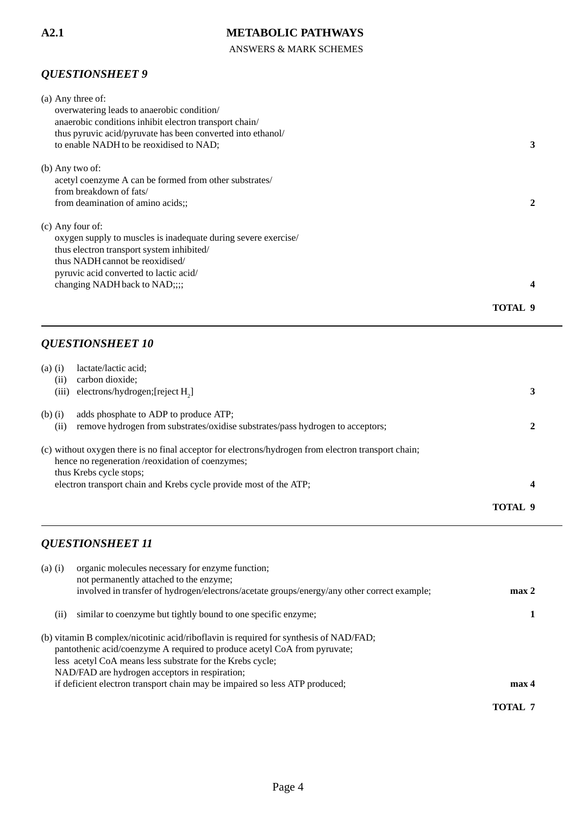ANSWERS & MARK SCHEMES

# *QUESTIONSHEET 9*

| (a) Any three of:                                              |         |
|----------------------------------------------------------------|---------|
| overwatering leads to anaerobic condition/                     |         |
| anaerobic conditions inhibit electron transport chain/         |         |
| thus pyruvic acid/pyruvate has been converted into ethanol/    |         |
| to enable NADH to be reoxidised to NAD;                        |         |
| $(b)$ Any two of:                                              |         |
| acetyl coenzyme A can be formed from other substrates          |         |
| from breakdown of fats/                                        |         |
| from deamination of amino acids;                               |         |
| (c) Any four of:                                               |         |
| oxygen supply to muscles is inadequate during severe exercise/ |         |
| thus electron transport system inhibited/                      |         |
| thus NADH cannot be reoxidised/                                |         |
| pyruvic acid converted to lactic acid/                         |         |
| changing NADH back to NAD;;;;                                  |         |
|                                                                |         |
|                                                                | TOTAL 9 |

### *QUESTIONSHEET 10*

| $(a)$ $(i)$ | lactate/lactic acid;                                                                                |         |
|-------------|-----------------------------------------------------------------------------------------------------|---------|
| (i)         | carbon dioxide:                                                                                     |         |
| (iii)       | electrons/hydrogen; [reject $H_2$ ]                                                                 |         |
| $(b)$ $(i)$ | adds phosphate to ADP to produce ATP;                                                               |         |
| (i)         | remove hydrogen from substrates/oxidise substrates/pass hydrogen to acceptors;                      |         |
|             | (c) without oxygen there is no final acceptor for electrons/hydrogen from electron transport chain; |         |
|             | hence no regeneration /reoxidation of coenzymes;                                                    |         |
|             | thus Krebs cycle stops;                                                                             |         |
|             | electron transport chain and Krebs cycle provide most of the ATP;                                   | 4       |
|             |                                                                                                     | TOTAL 9 |

| $(a)$ $(i)$ | organic molecules necessary for enzyme function;                                            |                  |
|-------------|---------------------------------------------------------------------------------------------|------------------|
|             | not permanently attached to the enzyme;                                                     |                  |
|             | involved in transfer of hydrogen/electrons/acetate groups/energy/any other correct example; | max 2            |
| (11)        | similar to coenzyme but tightly bound to one specific enzyme;                               |                  |
|             | (b) vitamin B complex/nicotinic acid/riboflavin is required for synthesis of NAD/FAD;       |                  |
|             | pantothenic acid/coenzyme A required to produce acetyl CoA from pyruvate;                   |                  |
|             | less acetyl CoA means less substrate for the Krebs cycle;                                   |                  |
|             | NAD/FAD are hydrogen acceptors in respiration;                                              |                  |
|             | if deficient electron transport chain may be impaired so less ATP produced;                 | max <sub>4</sub> |
|             |                                                                                             | TOTAL 7          |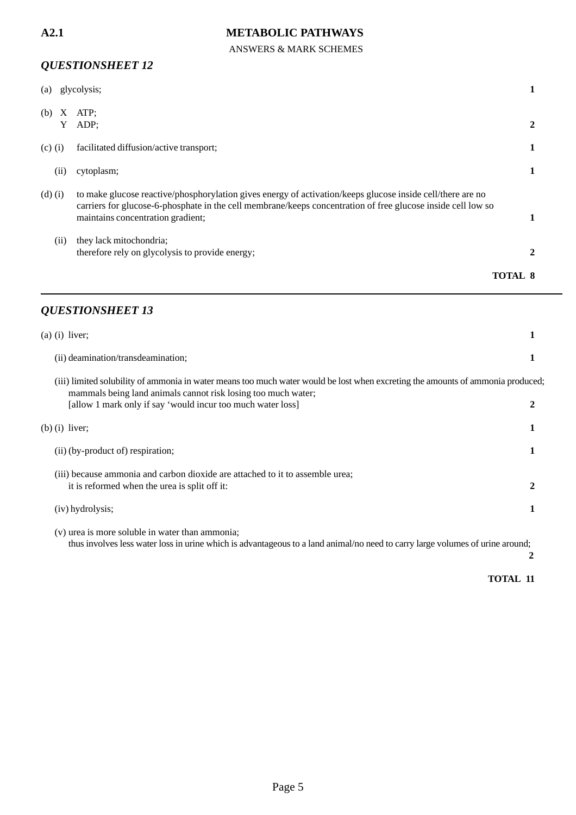### ANSWERS & MARK SCHEMES

# *QUESTIONSHEET 12*

| (a)           | glycolysis;                                                                                                                                                                                                                                                     |         |
|---------------|-----------------------------------------------------------------------------------------------------------------------------------------------------------------------------------------------------------------------------------------------------------------|---------|
| X<br>(b)<br>Y | ATP:<br>ADP;                                                                                                                                                                                                                                                    |         |
| $(c)$ (i)     | facilitated diffusion/active transport;                                                                                                                                                                                                                         |         |
| (i)           | cytoplasm;                                                                                                                                                                                                                                                      |         |
| $(d)$ $(i)$   | to make glucose reactive/phosphorylation gives energy of activation/keeps glucose inside cell/there are no<br>carriers for glucose-6-phosphate in the cell membrane/keeps concentration of free glucose inside cell low so<br>maintains concentration gradient; |         |
| (ii)          | they lack mitochondria;<br>therefore rely on glycolysis to provide energy;                                                                                                                                                                                      |         |
|               |                                                                                                                                                                                                                                                                 | TOTAL 8 |

### *QUESTIONSHEET 13*

| $(a)$ (i) liver;                                                                                                                                                                                                                                                |   |
|-----------------------------------------------------------------------------------------------------------------------------------------------------------------------------------------------------------------------------------------------------------------|---|
| (ii) deamination/transdeamination;                                                                                                                                                                                                                              |   |
| (iii) limited solubility of ammonia in water means too much water would be lost when excreting the amounts of ammonia produced;<br>mammals being land animals cannot risk losing too much water;<br>[allow 1 mark only if say 'would incur too much water loss] |   |
| $(b)$ (i) liver;                                                                                                                                                                                                                                                |   |
| (ii) (by-product of) respiration;                                                                                                                                                                                                                               |   |
| (iii) because ammonia and carbon dioxide are attached to it to assemble urea;<br>it is reformed when the urea is split off it:                                                                                                                                  | 2 |
| (iv) hydrolysis;                                                                                                                                                                                                                                                |   |
| (v) urea is more soluble in water than ammonia;<br>thus involves less water loss in urine which is advantageous to a land animal/no need to carry large volumes of urine around;                                                                                |   |

**2**

**TOTAL 11**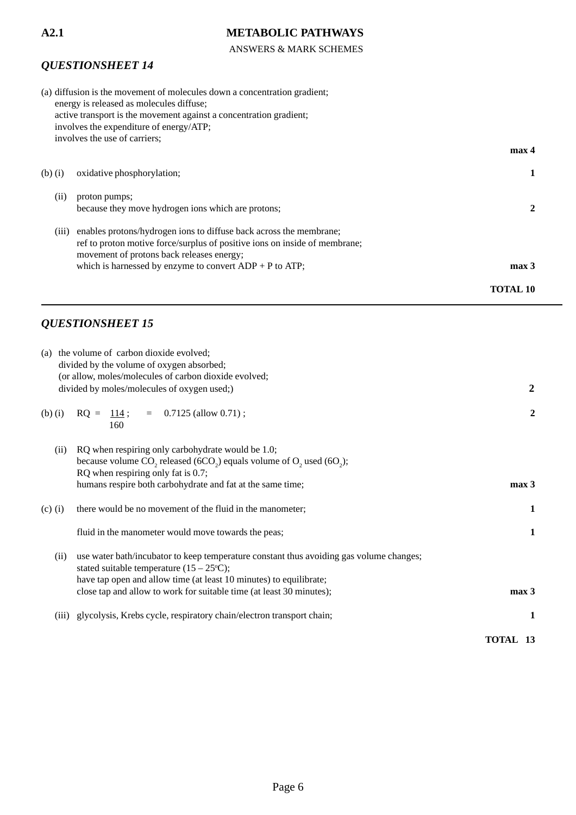### ANSWERS & MARK SCHEMES

# *QUESTIONSHEET 14*

|             | (a) diffusion is the movement of molecules down a concentration gradient;<br>energy is released as molecules diffuse;<br>active transport is the movement against a concentration gradient;<br>involves the expenditure of energy/ATP;<br>involves the use of carriers; |                  |
|-------------|-------------------------------------------------------------------------------------------------------------------------------------------------------------------------------------------------------------------------------------------------------------------------|------------------|
|             |                                                                                                                                                                                                                                                                         | max 4            |
| $(b)$ $(i)$ | oxidative phosphorylation;                                                                                                                                                                                                                                              |                  |
| (i)         | proton pumps;<br>because they move hydrogen ions which are protons;                                                                                                                                                                                                     |                  |
| (111)       | enables protons/hydrogen ions to diffuse back across the membrane;<br>ref to proton motive force/surplus of positive ions on inside of membrane;<br>movement of protons back releases energy;                                                                           |                  |
|             | which is harnessed by enzyme to convert $ADP + P$ to $ATP$ ;                                                                                                                                                                                                            | max <sub>3</sub> |
|             |                                                                                                                                                                                                                                                                         | TOTAL 10         |

| (a) the volume of carbon dioxide evolved;                                                          |                      |
|----------------------------------------------------------------------------------------------------|----------------------|
| divided by the volume of oxygen absorbed;                                                          |                      |
| (or allow, moles/molecules of carbon dioxide evolved;                                              |                      |
| divided by moles/molecules of oxygen used;)                                                        | $\boldsymbol{2}$     |
|                                                                                                    |                      |
| $RQ = 114$ ; = 0.7125 (allow 0.71);<br>$(b)$ $(i)$                                                 | 2                    |
| 160                                                                                                |                      |
| RQ when respiring only carbohydrate would be 1.0;<br>(ii)                                          |                      |
| because volume $CO_2$ released (6CO <sub>2</sub> ) equals volume of $O_2$ used (6O <sub>2</sub> ); |                      |
| RQ when respiring only fat is 0.7;                                                                 |                      |
| humans respire both carbohydrate and fat at the same time;                                         | max <sub>3</sub>     |
|                                                                                                    |                      |
| there would be no movement of the fluid in the manometer;<br>$(c)$ (i)                             | 1                    |
|                                                                                                    |                      |
| fluid in the manometer would move towards the peas;                                                | 1                    |
|                                                                                                    |                      |
| use water bath/incubator to keep temperature constant thus avoiding gas volume changes;<br>(ii)    |                      |
| stated suitable temperature $(15 - 25^{\circ}\text{C});$                                           |                      |
| have tap open and allow time (at least 10 minutes) to equilibrate;                                 |                      |
| close tap and allow to work for suitable time (at least 30 minutes);                               | max <sub>3</sub>     |
| glycolysis, Krebs cycle, respiratory chain/electron transport chain;<br>(iii)                      | $\mathbf{1}$         |
|                                                                                                    |                      |
|                                                                                                    | <b>TOTAL</b><br>- 13 |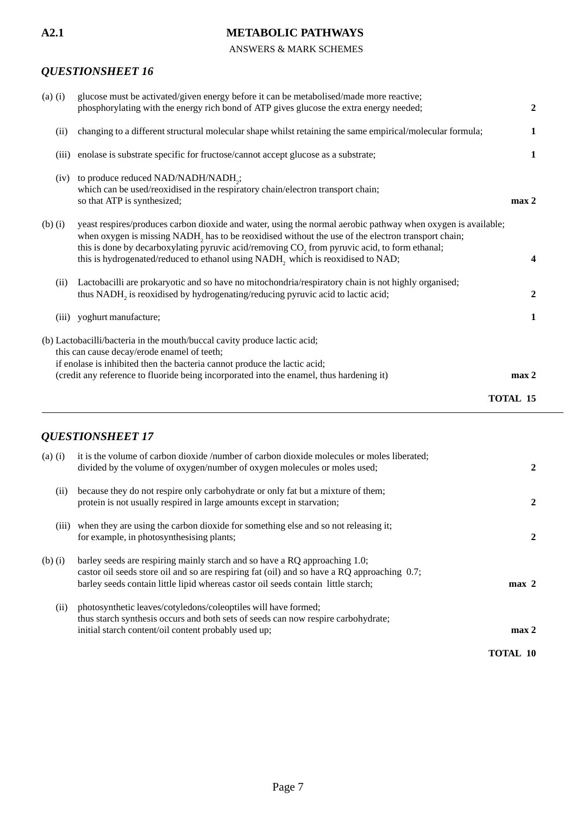### ANSWERS & MARK SCHEMES

# *QUESTIONSHEET 16*

| $(a)$ $(i)$ | glucose must be activated/given energy before it can be metabolised/made more reactive;<br>phosphorylating with the energy rich bond of ATP gives glucose the extra energy needed;                                                                                                                                                                                                                                 | $\mathbf{2}$     |
|-------------|--------------------------------------------------------------------------------------------------------------------------------------------------------------------------------------------------------------------------------------------------------------------------------------------------------------------------------------------------------------------------------------------------------------------|------------------|
| (ii)        | changing to a different structural molecular shape whilst retaining the same empirical/molecular formula;                                                                                                                                                                                                                                                                                                          | 1                |
| (iii)       | enolase is substrate specific for fructose/cannot accept glucose as a substrate;                                                                                                                                                                                                                                                                                                                                   | $\mathbf{1}$     |
| (iv)        | to produce reduced NAD/NADH/NADH <sub>2</sub> ;<br>which can be used/reoxidised in the respiratory chain/electron transport chain;<br>so that ATP is synthesized;                                                                                                                                                                                                                                                  | max <sub>2</sub> |
| $(b)$ $(i)$ | yeast respires/produces carbon dioxide and water, using the normal aerobic pathway when oxygen is available;<br>when oxygen is missing NADH, has to be reoxidised without the use of the electron transport chain;<br>this is done by decarboxylating pyruvic acid/removing CO <sub>2</sub> from pyruvic acid, to form ethanal;<br>this is hydrogenated/reduced to ethanol using NADH, which is reoxidised to NAD; | 4                |
| (ii)        | Lactobacilli are prokaryotic and so have no mitochondria/respiratory chain is not highly organised;<br>thus NADH, is reoxidised by hydrogenating/reducing pyruvic acid to lactic acid;                                                                                                                                                                                                                             | $\overline{2}$   |
|             | (iii) yoghurt manufacture;                                                                                                                                                                                                                                                                                                                                                                                         | 1                |
|             | (b) Lactobacilli/bacteria in the mouth/buccal cavity produce lactic acid;<br>this can cause decay/erode enamel of teeth;<br>if enolase is inhibited then the bacteria cannot produce the lactic acid;<br>(credit any reference to fluoride being incorporated into the enamel, thus hardening it)                                                                                                                  | max <sub>2</sub> |
|             |                                                                                                                                                                                                                                                                                                                                                                                                                    | <b>TOTAL 15</b>  |

| $(a)$ $(i)$ | it is the volume of carbon dioxide /number of carbon dioxide molecules or moles liberated;<br>divided by the volume of oxygen/number of oxygen molecules or moles used;                                                                                        | 2                |
|-------------|----------------------------------------------------------------------------------------------------------------------------------------------------------------------------------------------------------------------------------------------------------------|------------------|
| (i)         | because they do not respire only carbohydrate or only fat but a mixture of them;<br>protein is not usually respired in large amounts except in starvation;                                                                                                     | $\mathbf{2}$     |
| (iii)       | when they are using the carbon dioxide for something else and so not releasing it;<br>for example, in photosynthesising plants;                                                                                                                                | 2                |
| $(b)$ $(i)$ | barley seeds are respiring mainly starch and so have a RQ approaching 1.0;<br>castor oil seeds store oil and so are respiring fat (oil) and so have a RQ approaching 0.7;<br>barley seeds contain little lipid whereas castor oil seeds contain little starch; | $max$ 2          |
| (ii)        | photosynthetic leaves/cotyledons/coleoptiles will have formed;<br>thus starch synthesis occurs and both sets of seeds can now respire carbohydrate;<br>initial starch content/oil content probably used up;                                                    | max <sub>2</sub> |
|             |                                                                                                                                                                                                                                                                | <b>TOTAL 10</b>  |